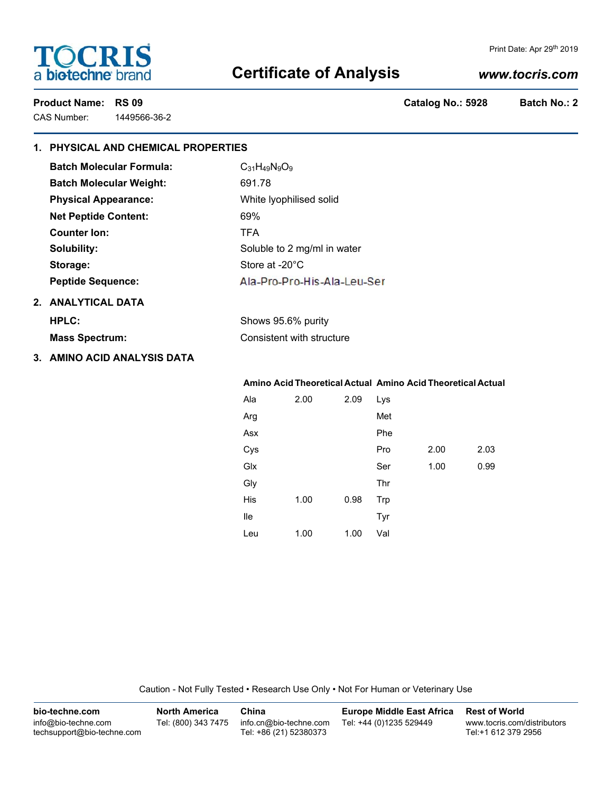# **TOCRIS** a biotechne brand

### Print Date: Apr 29th 2019

# **Certificate of Analysis**

# *www.tocris.com*

CAS Number: 1449566-36-2

Product Name: RS 09 **Product Name: RS 09 Catalog No.: 5928** Batch No.: 2

# **1. PHYSICAL AND CHEMICAL PROPERTIES**

| <b>Batch Molecular Formula:</b> | $C_{31}H_{49}N_9O_9$        |  |
|---------------------------------|-----------------------------|--|
| <b>Batch Molecular Weight:</b>  | 691.78                      |  |
| <b>Physical Appearance:</b>     | White Iyophilised solid     |  |
| <b>Net Peptide Content:</b>     | 69%                         |  |
| Counter Ion:                    | <b>TFA</b>                  |  |
| Solubility:                     | Soluble to 2 mg/ml in water |  |
| Storage:                        | Store at $-20^{\circ}$ C    |  |
| <b>Peptide Sequence:</b>        | Ala-Pro-Pro-His-Ala-Leu-Ser |  |
| 2. ANALYTICAL DATA              |                             |  |
| HPLC:                           | Shows 95.6% purity          |  |
| <b>Mass Spectrum:</b>           | Consistent with structure   |  |
|                                 |                             |  |

**3. AMINO ACID ANALYSIS DATA**

### **Amino Acid Theoretical Actual Amino Acid Theoretical Actual**

| Ala | 2.00 | 2.09 | Lys |      |      |
|-----|------|------|-----|------|------|
| Arg |      |      | Met |      |      |
| Asx |      |      | Phe |      |      |
| Cys |      |      | Pro | 2.00 | 2.03 |
| Glx |      |      | Ser | 1.00 | 0.99 |
| Gly |      |      | Thr |      |      |
| His | 1.00 | 0.98 | Trp |      |      |
| lle |      |      | Tyr |      |      |
| Leu | 1.00 | 1.00 | Val |      |      |

Caution - Not Fully Tested • Research Use Only • Not For Human or Veterinary Use

| bio-techne.com                                    | <b>North America</b> | China                                            | <b>Europe Middle East Africa</b> | <b>Rest of World</b>                               |
|---------------------------------------------------|----------------------|--------------------------------------------------|----------------------------------|----------------------------------------------------|
| info@bio-techne.com<br>techsupport@bio-techne.com | Tel: (800) 343 7475  | info.cn@bio-techne.com<br>Tel: +86 (21) 52380373 | Tel: +44 (0)1235 529449          | www.tocris.com/distributors<br>Tel:+1 612 379 2956 |